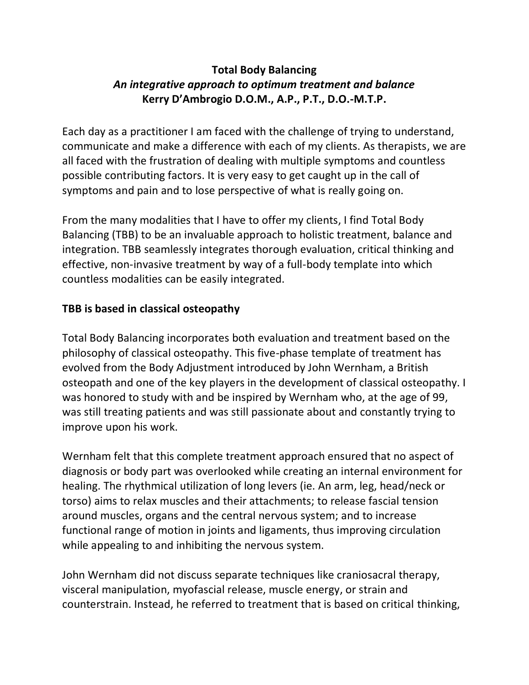# **Total Body Balancing** *An integrative approach to optimum treatment and balance* **Kerry D'Ambrogio D.O.M., A.P., P.T., D.O.-M.T.P.**

Each day as a practitioner I am faced with the challenge of trying to understand, communicate and make a difference with each of my clients. As therapists, we are all faced with the frustration of dealing with multiple symptoms and countless possible contributing factors. It is very easy to get caught up in the call of symptoms and pain and to lose perspective of what is really going on.

From the many modalities that I have to offer my clients, I find Total Body Balancing (TBB) to be an invaluable approach to holistic treatment, balance and integration. TBB seamlessly integrates thorough evaluation, critical thinking and effective, non-invasive treatment by way of a full-body template into which countless modalities can be easily integrated.

## **TBB is based in classical osteopathy**

Total Body Balancing incorporates both evaluation and treatment based on the philosophy of classical osteopathy. This five-phase template of treatment has evolved from the Body Adjustment introduced by John Wernham, a British osteopath and one of the key players in the development of classical osteopathy. I was honored to study with and be inspired by Wernham who, at the age of 99, was still treating patients and was still passionate about and constantly trying to improve upon his work.

Wernham felt that this complete treatment approach ensured that no aspect of diagnosis or body part was overlooked while creating an internal environment for healing. The rhythmical utilization of long levers (ie. An arm, leg, head/neck or torso) aims to relax muscles and their attachments; to release fascial tension around muscles, organs and the central nervous system; and to increase functional range of motion in joints and ligaments, thus improving circulation while appealing to and inhibiting the nervous system.

John Wernham did not discuss separate techniques like craniosacral therapy, visceral manipulation, myofascial release, muscle energy, or strain and counterstrain. Instead, he referred to treatment that is based on critical thinking,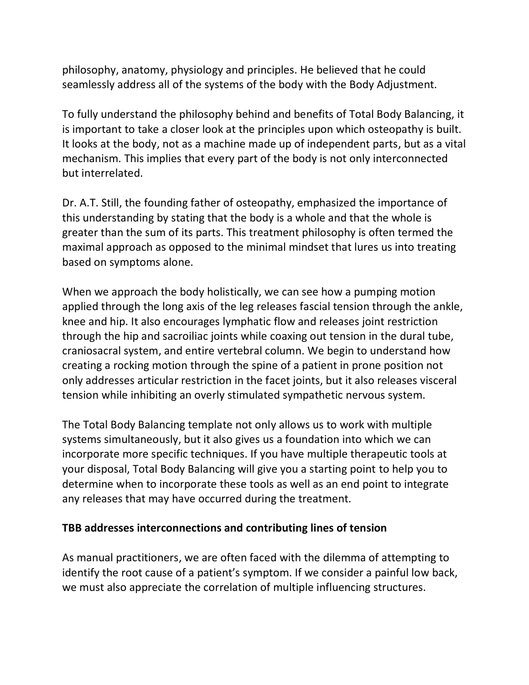philosophy, anatomy, physiology and principles. He believed that he could seamlessly address all of the systems of the body with the Body Adjustment.

To fully understand the philosophy behind and benefits of Total Body Balancing, it is important to take a closer look at the principles upon which osteopathy is built. It looks at the body, not as a machine made up of independent parts, but as a vital mechanism. This implies that every part of the body is not only interconnected but interrelated.

Dr. A.T. Still, the founding father of osteopathy, emphasized the importance of this understanding by stating that the body is a whole and that the whole is greater than the sum of its parts. This treatment philosophy is often termed the maximal approach as opposed to the minimal mindset that lures us into treating based on symptoms alone.

When we approach the body holistically, we can see how a pumping motion applied through the long axis of the leg releases fascial tension through the ankle, knee and hip. It also encourages lymphatic flow and releases joint restriction through the hip and sacroiliac joints while coaxing out tension in the dural tube, craniosacral system, and entire vertebral column. We begin to understand how creating a rocking motion through the spine of a patient in prone position not only addresses articular restriction in the facet joints, but it also releases visceral tension while inhibiting an overly stimulated sympathetic nervous system.

The Total Body Balancing template not only allows us to work with multiple systems simultaneously, but it also gives us a foundation into which we can incorporate more specific techniques. If you have multiple therapeutic tools at your disposal, Total Body Balancing will give you a starting point to help you to determine when to incorporate these tools as well as an end point to integrate any releases that may have occurred during the treatment.

### **TBB addresses interconnections and contributing lines of tension**

As manual practitioners, we are often faced with the dilemma of attempting to identify the root cause of a patient's symptom. If we consider a painful low back, we must also appreciate the correlation of multiple influencing structures.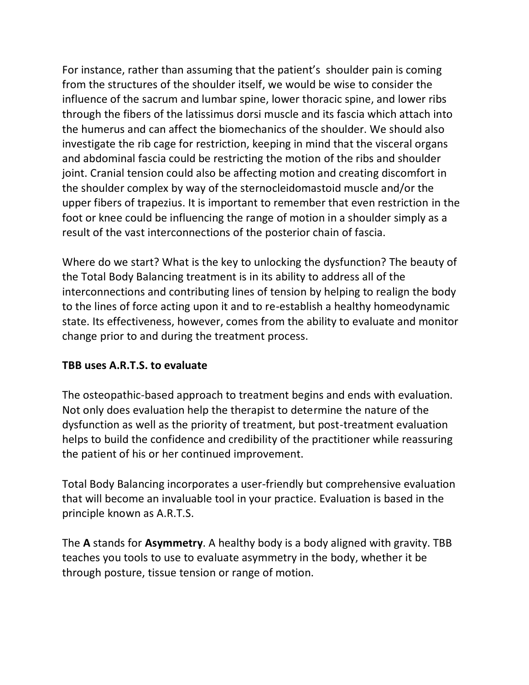For instance, rather than assuming that the patient's shoulder pain is coming from the structures of the shoulder itself, we would be wise to consider the influence of the sacrum and lumbar spine, lower thoracic spine, and lower ribs through the fibers of the latissimus dorsi muscle and its fascia which attach into the humerus and can affect the biomechanics of the shoulder. We should also investigate the rib cage for restriction, keeping in mind that the visceral organs and abdominal fascia could be restricting the motion of the ribs and shoulder joint. Cranial tension could also be affecting motion and creating discomfort in the shoulder complex by way of the sternocleidomastoid muscle and/or the upper fibers of trapezius. It is important to remember that even restriction in the foot or knee could be influencing the range of motion in a shoulder simply as a result of the vast interconnections of the posterior chain of fascia.

Where do we start? What is the key to unlocking the dysfunction? The beauty of the Total Body Balancing treatment is in its ability to address all of the interconnections and contributing lines of tension by helping to realign the body to the lines of force acting upon it and to re-establish a healthy homeodynamic state. Its effectiveness, however, comes from the ability to evaluate and monitor change prior to and during the treatment process.

### **TBB uses A.R.T.S. to evaluate**

The osteopathic-based approach to treatment begins and ends with evaluation. Not only does evaluation help the therapist to determine the nature of the dysfunction as well as the priority of treatment, but post-treatment evaluation helps to build the confidence and credibility of the practitioner while reassuring the patient of his or her continued improvement.

Total Body Balancing incorporates a user-friendly but comprehensive evaluation that will become an invaluable tool in your practice. Evaluation is based in the principle known as A.R.T.S.

The **A** stands for **Asymmetry**. A healthy body is a body aligned with gravity. TBB teaches you tools to use to evaluate asymmetry in the body, whether it be through posture, tissue tension or range of motion.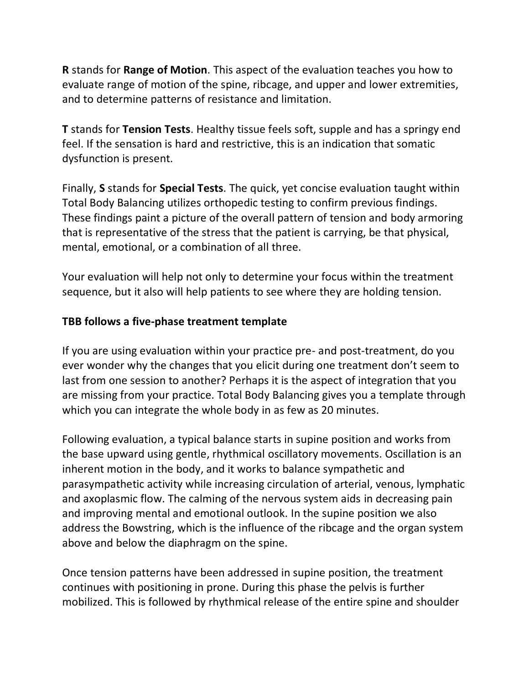**R** stands for **Range of Motion**. This aspect of the evaluation teaches you how to evaluate range of motion of the spine, ribcage, and upper and lower extremities, and to determine patterns of resistance and limitation.

**T** stands for **Tension Tests**. Healthy tissue feels soft, supple and has a springy end feel. If the sensation is hard and restrictive, this is an indication that somatic dysfunction is present.

Finally, **S** stands for **Special Tests**. The quick, yet concise evaluation taught within Total Body Balancing utilizes orthopedic testing to confirm previous findings. These findings paint a picture of the overall pattern of tension and body armoring that is representative of the stress that the patient is carrying, be that physical, mental, emotional, or a combination of all three.

Your evaluation will help not only to determine your focus within the treatment sequence, but it also will help patients to see where they are holding tension.

#### **TBB follows a five-phase treatment template**

If you are using evaluation within your practice pre- and post-treatment, do you ever wonder why the changes that you elicit during one treatment don't seem to last from one session to another? Perhaps it is the aspect of integration that you are missing from your practice. Total Body Balancing gives you a template through which you can integrate the whole body in as few as 20 minutes.

Following evaluation, a typical balance starts in supine position and works from the base upward using gentle, rhythmical oscillatory movements. Oscillation is an inherent motion in the body, and it works to balance sympathetic and parasympathetic activity while increasing circulation of arterial, venous, lymphatic and axoplasmic flow. The calming of the nervous system aids in decreasing pain and improving mental and emotional outlook. In the supine position we also address the Bowstring, which is the influence of the ribcage and the organ system above and below the diaphragm on the spine.

Once tension patterns have been addressed in supine position, the treatment continues with positioning in prone. During this phase the pelvis is further mobilized. This is followed by rhythmical release of the entire spine and shoulder